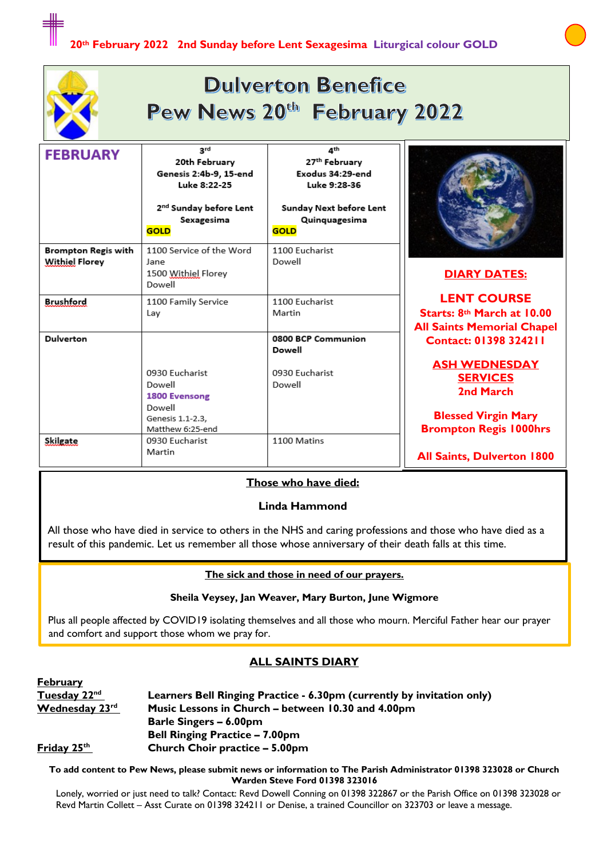

| <b>FEBRUARY</b>                              | 3rd<br>20th February<br>Genesis 2:4b-9, 15-end<br>Luke 8:22-25<br>2 <sup>nd</sup> Sunday before Lent<br>Sexagesima<br><b>GOLD</b> | 4 <sup>th</sup><br>27 <sup>th</sup> February<br>Exodus 34:29-end<br>Luke 9:28-36<br>Sunday Next before Lent<br>Quinquagesima<br><b>GOLD</b> |                                                                                                                                                     |
|----------------------------------------------|-----------------------------------------------------------------------------------------------------------------------------------|---------------------------------------------------------------------------------------------------------------------------------------------|-----------------------------------------------------------------------------------------------------------------------------------------------------|
| Brompton Regis with<br><b>Withiel Florey</b> | 1100 Service of the Word<br>lane<br>1500 Withiel Florey<br>Dowell                                                                 | 1100 Eucharist<br>Dowell                                                                                                                    | <b>DIARY DATES:</b>                                                                                                                                 |
| <b>Brushford</b>                             | 1100 Family Service<br>Lay                                                                                                        | 1100 Eucharist<br>Martin                                                                                                                    | <b>LENT COURSE</b><br>Starts: 8th March at 10.00<br><b>All Saints Memorial Chapel</b>                                                               |
| <b>Dulverton</b>                             | 0930 Eucharist<br>Dowell<br>1800 Evensong<br>Dowell<br>Genesis 1.1-2.3,<br>Matthew 6:25-end                                       | 0800 BCP Communion<br>Dowell<br>0930 Eucharist<br>Dowell                                                                                    | <b>Contact: 01398 324211</b><br><b>ASH WEDNESDAY</b><br><b>SERVICES</b><br>2nd March<br><b>Blessed Virgin Mary</b><br><b>Brompton Regis 1000hrs</b> |
| Skilgate                                     | 0930 Eucharist<br>Martin                                                                                                          | 1100 Matins                                                                                                                                 | <b>All Saints, Dulverton 1800</b>                                                                                                                   |

#### **Those who have died:**

#### **Linda Hammond**

All those who have died in service to others in the NHS and caring professions and those who have died as a result of this pandemic. Let us remember all those whose anniversary of their death falls at this time.

#### **The sick and those in need of our prayers.**

#### **Sheila Veysey, Jan Weaver, Mary Burton, June Wigmore**

Plus all people affected by COVID19 isolating themselves and all those who mourn. Merciful Father hear our prayer and comfort and support those whom we pray for.

#### **ALL SAINTS DIARY**

| <u>repruary</u>          |                                                                        |
|--------------------------|------------------------------------------------------------------------|
| Tuesday 22 <sup>nd</sup> | Learners Bell Ringing Practice - 6.30pm (currently by invitation only) |
| Wednesday 23rd           | Music Lessons in Church – between 10.30 and 4.00pm                     |
|                          | <b>Barle Singers – 6.00pm</b>                                          |
|                          | <b>Bell Ringing Practice - 7.00pm</b>                                  |
| Friday 25 <sup>th</sup>  | Church Choir practice - 5.00pm                                         |
|                          |                                                                        |

**February**

**To add content to Pew News, please submit news or information to The Parish Administrator 01398 323028 or Church Warden Steve Ford 01398 323016**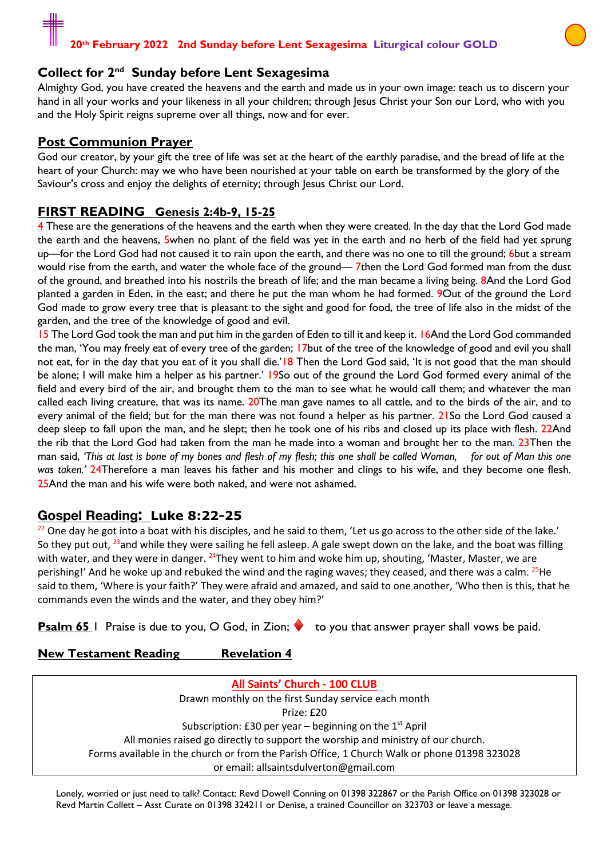#### **Collect for 2nd Sunday before Lent Sexagesima**

Almighty God, you have created the heavens and the earth and made us in your own image: teach us to discern your hand in all your works and your likeness in all your children; through Jesus Christ your Son our Lord, who with you and the Holy Spirit reigns supreme over all things, now and for ever.

#### **Post Communion Prayer**

God our creator, by your gift the tree of life was set at the heart of the earthly paradise, and the bread of life at the heart of your Church: may we who have been nourished at your table on earth be transformed by the glory of the Saviour's cross and enjoy the delights of eternity; through Jesus Christ our Lord.

### **FIRST READING Genesis 2:4b-9, 15-25**

4 These are the generations of the heavens and the earth when they were created. In the day that the Lord God made the earth and the heavens, 5when no plant of the field was yet in the earth and no herb of the field had yet sprung up—for the Lord God had not caused it to rain upon the earth, and there was no one to till the ground; 6but a stream would rise from the earth, and water the whole face of the ground— 7then the Lord God formed man from the dust of the ground, and breathed into his nostrils the breath of life; and the man became a living being. 8And the Lord God planted a garden in Eden, in the east; and there he put the man whom he had formed. 9Out of the ground the Lord God made to grow every tree that is pleasant to the sight and good for food, the tree of life also in the midst of the garden, and the tree of the knowledge of good and evil.

15 The Lord God took the man and put him in the garden of Eden to till it and keep it. 16And the Lord God commanded the man, 'You may freely eat of every tree of the garden; 17but of the tree of the knowledge of good and evil you shall not eat, for in the day that you eat of it you shall die.'<sup>18</sup> Then the Lord God said, 'It is not good that the man should be alone; I will make him a helper as his partner.' 19So out of the ground the Lord God formed every animal of the field and every bird of the air, and brought them to the man to see what he would call them; and whatever the man called each living creature, that was its name. 20The man gave names to all cattle, and to the birds of the air, and to every animal of the field; but for the man there was not found a helper as his partner. 21So the Lord God caused a deep sleep to fall upon the man, and he slept; then he took one of his ribs and closed up its place with flesh. 22And the rib that the Lord God had taken from the man he made into a woman and brought her to the man. 23Then the man said, *'This at last is bone of my bones and flesh of my flesh; this one shall be called Woman, for out of Man this one was taken.'* 24Therefore a man leaves his father and his mother and clings to his wife, and they become one flesh. 25And the man and his wife were both naked, and were not ashamed.

### **Gospel Reading: Luke 8:22-25**

 $22$  One day he got into a boat with his disciples, and he said to them, 'Let us go across to the other side of the lake.' So they put out, <sup>23</sup>and while they were sailing he fell asleep. A gale swept down on the lake, and the boat was filling with water, and they were in danger. <sup>24</sup>They went to him and woke him up, shouting, 'Master, Master, we are perishing!' And he woke up and rebuked the wind and the raging waves; they ceased, and there was a calm. <sup>25</sup>He said to them, 'Where is your faith?' They were afraid and amazed, and said to one another, 'Who then is this, that he commands even the winds and the water, and they obey him?'

**Psalm 65** 1 Praise is due to you, O God, in Zion; ♦ to you that answer prayer shall vows be paid.

**New Testament Reading Revelation 4** 

**All Saints' Church - 100 CLUB** Drawn monthly on the first Sunday service each month Prize: £20 Subscription: £30 per year – beginning on the  $1<sup>st</sup>$  April All monies raised go directly to support the worship and ministry of our church. Forms available in the church or from the Parish Office, 1 Church Walk or phone 01398 323028 or email: allsaintsdulverton@gmail.com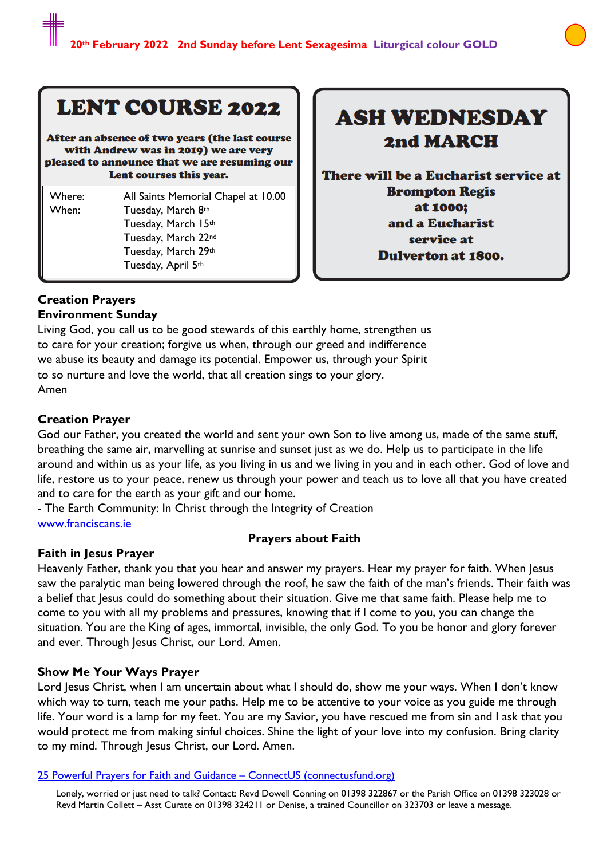# **LENT COURSE 2022**

After an absence of two years (the last course with Andrew was in 2019) we are very pleased to announce that we are resuming our Lent courses this year.

| Where: | All Saints Memorial Chapel at 10.00 |
|--------|-------------------------------------|
| When:  | Tuesday, March 8th                  |
|        | Tuesday, March 15th                 |
|        | Tuesday, March 22nd                 |
|        | Tuesday, March 29th                 |
|        | Tuesday, April 5th                  |

# **ASH WEDNESDAY** 2nd MARCH

There will be a Eucharist service at **Brompton Regis** at 1000; and a Eucharist service at **Dulverton at 1800.** 

#### **Creation Prayers Environment Sunday**

Living God, you call us to be good stewards of this earthly home, strengthen us to care for your creation; forgive us when, through our greed and indifference we abuse its beauty and damage its potential. Empower us, through your Spirit to so nurture and love the world, that all creation sings to your glory. Amen

# **Creation Prayer**

God our Father, you created the world and sent your own Son to live among us, made of the same stuff, breathing the same air, marvelling at sunrise and sunset just as we do. Help us to participate in the life around and within us as your life, as you living in us and we living in you and in each other. God of love and life, restore us to your peace, renew us through your power and teach us to love all that you have created and to care for the earth as your gift and our home.

- The Earth Community: In Christ through the Integrity of Creation www.franciscans.ie

# **Prayers about Faith**

# **Faith in Jesus Prayer**

Heavenly Father, thank you that you hear and answer my prayers. Hear my prayer for faith. When Jesus saw the paralytic man being lowered through the roof, he saw the faith of the man's friends. Their faith was a belief that Jesus could do something about their situation. Give me that same faith. Please help me to come to you with all my problems and pressures, knowing that if I come to you, you can change the situation. You are the King of ages, immortal, invisible, the only God. To you be honor and glory forever and ever. Through Jesus Christ, our Lord. Amen.

# **Show Me Your Ways Prayer**

Lord Jesus Christ, when I am uncertain about what I should do, show me your ways. When I don't know which way to turn, teach me your paths. Help me to be attentive to your voice as you guide me through life. Your word is a lamp for my feet. You are my Savior, you have rescued me from sin and I ask that you would protect me from making sinful choices. Shine the light of your love into my confusion. Bring clarity to my mind. Through Jesus Christ, our Lord. Amen.

### 25 Powerful Prayers for Faith and Guidance – ConnectUS (connectusfund.org)